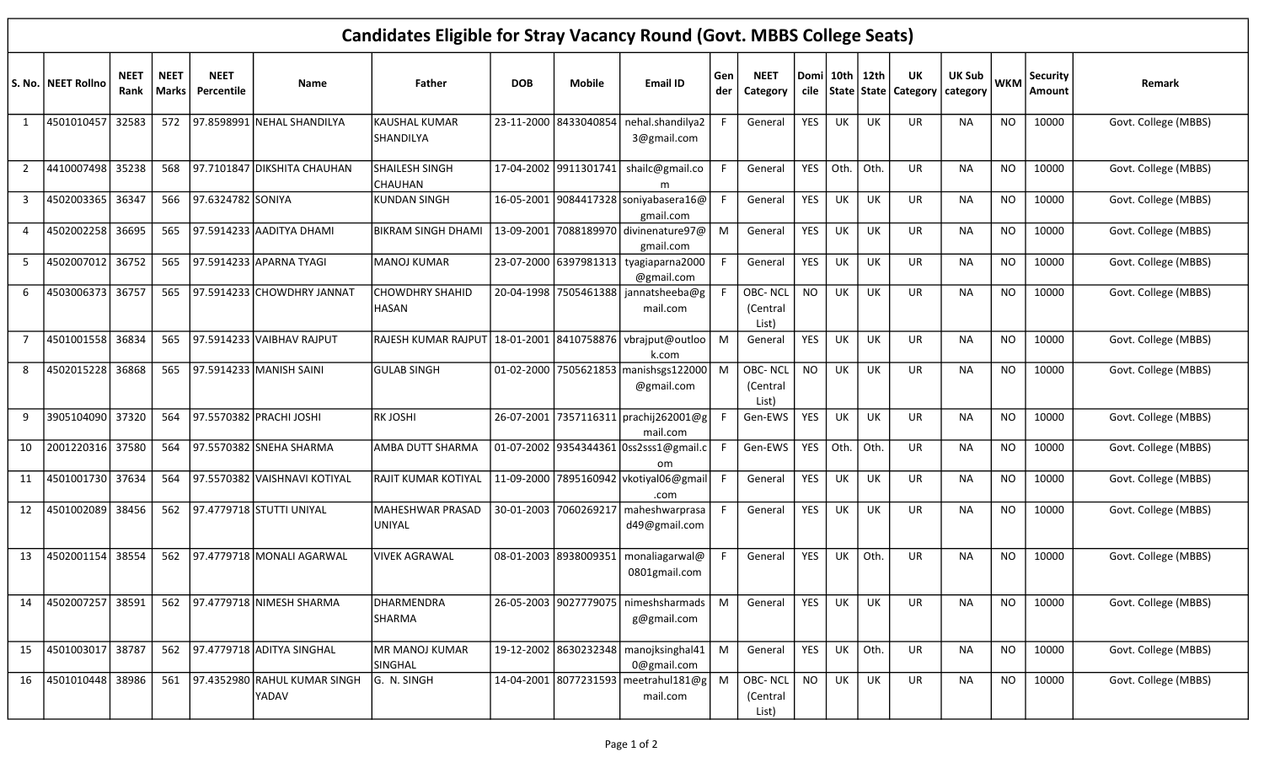| <b>Candidates Eligible for Stray Vacancy Round (Govt. MBBS College Seats)</b> |                      |                     |                        |                           |                                           |                                        |            |                       |                                                       |            |                                     |            |                    |             |                                       |                             |            |                    |                      |
|-------------------------------------------------------------------------------|----------------------|---------------------|------------------------|---------------------------|-------------------------------------------|----------------------------------------|------------|-----------------------|-------------------------------------------------------|------------|-------------------------------------|------------|--------------------|-------------|---------------------------------------|-----------------------------|------------|--------------------|----------------------|
|                                                                               | S. No.   NEET Rollno | <b>NEET</b><br>Rank | <b>NEET</b><br>  Marks | <b>NEET</b><br>Percentile | Name                                      | Father                                 | <b>DOB</b> | <b>Mobile</b>         | <b>Email ID</b>                                       | Gen<br>der | <b>NEET</b><br>Category             |            | Domi   10th   12th |             | UK<br>cile   State   State   Category | <b>UK Sub</b><br>  category | <b>WKM</b> | Security<br>Amount | Remark               |
| 1                                                                             | 4501010457           | 32583               |                        |                           | 572 97.8598991 NEHAL SHANDILYA            | KAUSHAL KUMAR<br>SHANDILYA             |            | 23-11-2000 8433040854 | nehal.shandilya2<br>3@gmail.com                       |            | General                             | YES        | UK                 | UK          | UR.                                   | <b>NA</b>                   | <b>NO</b>  | 10000              | Govt. College (MBBS) |
| $\overline{2}$                                                                | 4410007498           | 35238               | 568                    |                           | 97.7101847 DIKSHITA CHAUHAN               | <b>SHAILESH SINGH</b><br>CHAUHAN       |            |                       | 17-04-2002 9911301741 shailc@gmail.co<br>m            |            | General                             | YES        | Oth.               | $\vert$ Oth | UR                                    | NA                          | <b>NO</b>  | 10000              | Govt. College (MBBS) |
| 3                                                                             | 4502003365           | 36347               |                        | 566 97.6324782 SONIYA     |                                           | <b>KUNDAN SINGH</b>                    |            |                       | 16-05-2001 9084417328 soniyabasera16@<br>gmail.com    |            | General                             | <b>YES</b> | UK                 | UK          | UR                                    | <b>NA</b>                   | <b>NO</b>  | 10000              | Govt. College (MBBS) |
| 4                                                                             | 4502002258           | 36695               | 565                    |                           | 97.5914233 AADITYA DHAMI                  | <b>BIKRAM SINGH DHAMI</b>              |            |                       | 13-09-2001 7088189970 divinenature97@<br>gmail.com    | M          | General                             | <b>YES</b> | UK                 | UK          | UR                                    | NA                          | <b>NO</b>  | 10000              | Govt. College (MBBS) |
| 5                                                                             | 4502007012           | 36752               | 565                    |                           | 97.5914233 APARNA TYAGI                   | <b>MANOJ KUMAR</b>                     |            |                       | 23-07-2000 6397981313 tyagiaparna2000<br>@gmail.com   |            | General                             | <b>YES</b> | <b>UK</b>          | UK          | <b>UR</b>                             | <b>NA</b>                   | <b>NO</b>  | 10000              | Govt. College (MBBS) |
| 6                                                                             | 4503006373           | 36757               | 565                    |                           | 97.5914233 CHOWDHRY JANNAT                | <b>CHOWDHRY SHAHID</b><br><b>HASAN</b> |            |                       | 20-04-1998   7505461388   jannatsheeba@g<br>mail.com  |            | <b>OBC-NCL</b><br>(Central<br>List) | <b>NO</b>  | UK                 | UK          | UR                                    | <b>NA</b>                   | <b>NO</b>  | 10000              | Govt. College (MBBS) |
| 7                                                                             | 4501001558           | 36834               | 565                    |                           | 97.5914233 VAIBHAV RAJPUT                 | RAJESH KUMAR RAJPUT                    |            |                       | 18-01-2001 8410758876 vbraiput@outloo<br>k.com        | M          | General                             | <b>YES</b> | UK                 | UK          | UR.                                   | <b>NA</b>                   | <b>NO</b>  | 10000              | Govt. College (MBBS) |
| 8                                                                             | 4502015228           | 36868               |                        |                           | 565 97.5914233 MANISH SAINI               | <b>GULAB SINGH</b>                     |            |                       | 01-02-2000 7505621853 manishsgs122000<br>@gmail.com   | M          | OBC-NCL<br>(Central<br>List)        | <b>NO</b>  | UK                 | UK          | UR.                                   | NA.                         | <b>NO</b>  | 10000              | Govt. College (MBBS) |
| 9                                                                             | 3905104090           | 37320               |                        |                           | 564 97.5570382 PRACHI JOSHI               | <b>RKJOSHI</b>                         |            |                       | 26-07-2001 7357116311 prachij262001@g<br>mail.com     |            | Gen-EWS                             | <b>YES</b> | UK                 | UK          | <b>UR</b>                             | <b>NA</b>                   | <b>NO</b>  | 10000              | Govt. College (MBBS) |
| 10                                                                            | 2001220316           | 37580               |                        |                           | 564 97.5570382 SNEHA SHARMA               | AMBA DUTT SHARMA                       |            |                       | 01-07-2002 9354344361 0ss2sss1@gmail.c<br>om          |            | Gen-EWS                             | YES        | Oth.               | Oth         | <b>UR</b>                             | NA                          | <b>NO</b>  | 10000              | Govt. College (MBBS) |
| 11                                                                            | 4501001730           | 37634               |                        |                           | 564 97.5570382 VAISHNAVI KOTIYAL          | <b>RAJIT KUMAR KOTIYAL</b>             |            |                       | 11-09-2000 7895160942 vkotiyal06@gmail<br>.com        |            | General                             | <b>YES</b> | UK                 | UK          | UR                                    | <b>NA</b>                   | NO         | 10000              | Govt. College (MBBS) |
| 12                                                                            | 4501002089           | 38456               | 562                    |                           | 97.4779718 STUTTI UNIYAL                  | <b>MAHESHWAR PRASAD</b><br>UNIYAL      |            |                       | 30-01-2003 7060269217 maheshwarprasa<br>d49@gmail.com |            | General                             | <b>YES</b> | UK                 | UK          | UR.                                   | <b>NA</b>                   | <b>NO</b>  | 10000              | Govt. College (MBBS) |
| 13                                                                            | 4502001154           | 38554               | 562                    |                           | 97.4779718 MONALI AGARWAL                 | <b>VIVEK AGRAWAL</b>                   |            | 08-01-2003 8938009351 | monaliagarwal@<br>0801gmail.com                       |            | General                             | <b>YES</b> | UK                 | Oth         | UR                                    | <b>NA</b>                   | <b>NO</b>  | 10000              | Govt. College (MBBS) |
| 14                                                                            | 4502007257           | 38591               |                        |                           | 562 97.4779718 NIMESH SHARMA              | DHARMENDRA<br>SHARMA                   |            |                       | 26-05-2003 9027779075 nimeshsharmads<br>g@gmail.com   | M          | General                             | <b>YES</b> | UK                 | UK          | <b>UR</b>                             | <b>NA</b>                   | <b>NO</b>  | 10000              | Govt. College (MBBS) |
| 15                                                                            | 4501003017           | 38787               |                        |                           | 562 97.4779718 ADITYA SINGHAL             | MR MANOJ KUMAR<br>SINGHAL              |            |                       | 19-12-2002 8630232348 manojksinghal41<br>0@gmail.com  | M          | General                             | YES        | UK                 | Oth.        | UR                                    | <b>NA</b>                   | <b>NO</b>  | 10000              | Govt. College (MBBS) |
| 16                                                                            | 4501010448           | 38986               |                        |                           | 561 97.4352980 RAHUL KUMAR SINGH<br>YADAV | G. N. SINGH                            |            |                       | 14-04-2001 8077231593 meetrahul181@g<br>mail.com      | M          | OBC-NCL<br>(Central<br>List)        | <b>NO</b>  | UK                 | UK          | UR                                    | NA                          | <b>NO</b>  | 10000              | Govt. College (MBBS) |